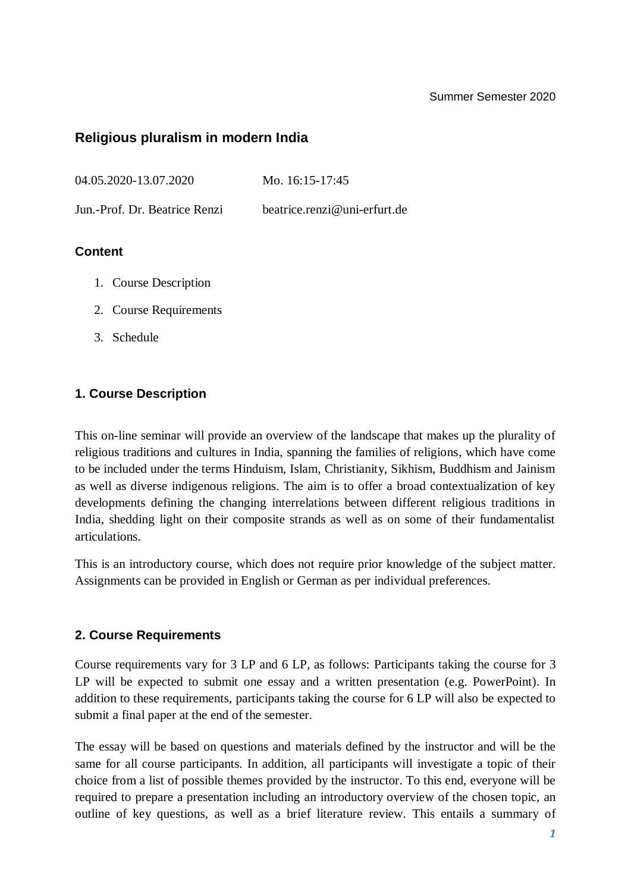#### Summer Semester 2020

# **Religious pluralism in modern India**

04.05.2020-13.07.2020 Mo. 16:15-17:45

Jun.-Prof. Dr. Beatrice Renzi [beatrice.renzi@uni-erfurt.de](mailto:beatrice.renzi@uni-erfurt.de)

## **Content**

- 1. Course Description
- 2. Course Requirements
- 3. Schedule

## **1. Course Description**

This on-line seminar will provide an overview of the landscape that makes up the plurality of religious traditions and cultures in India, spanning the families of religions, which have come to be included under the terms Hinduism, Islam, Christianity, Sikhism, Buddhism and Jainism as well as diverse indigenous religions. The aim is to offer a broad contextualization of key developments defining the changing interrelations between different religious traditions in India, shedding light on their composite strands as well as on some of their fundamentalist articulations.

This is an introductory course, which does not require prior knowledge of the subject matter. Assignments can be provided in English or German as per individual preferences.

#### **2. Course Requirements**

Course requirements vary for 3 LP and 6 LP, as follows: Participants taking the course for 3 LP will be expected to submit one essay and a written presentation (e.g. PowerPoint). In addition to these requirements, participants taking the course for 6 LP will also be expected to submit a final paper at the end of the semester.

The essay will be based on questions and materials defined by the instructor and will be the same for all course participants. In addition, all participants will investigate a topic of their choice from a list of possible themes provided by the instructor. To this end, everyone will be required to prepare a presentation including an introductory overview of the chosen topic, an outline of key questions, as well as a brief literature review. This entails a summary of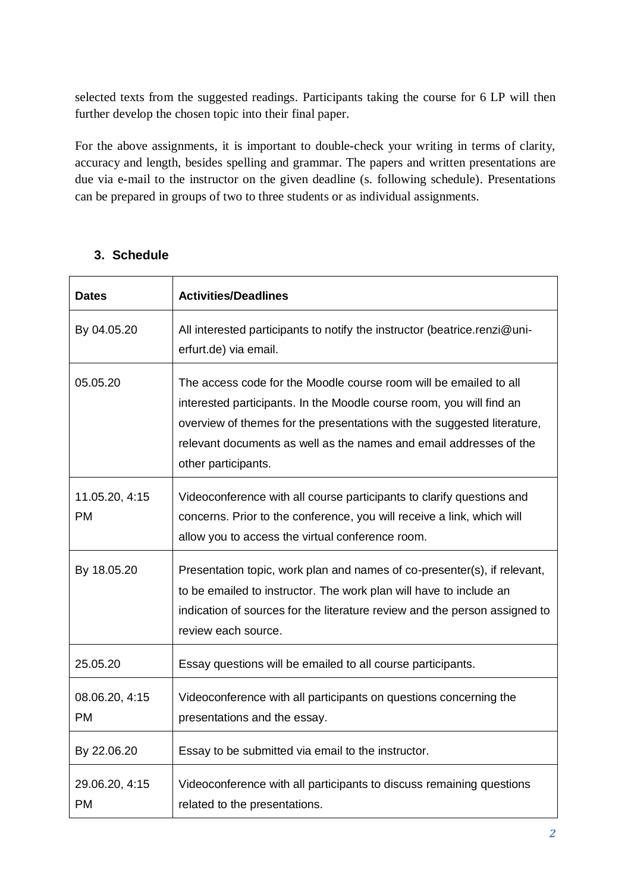selected texts from the suggested readings. Participants taking the course for 6 LP will then further develop the chosen topic into their final paper.

For the above assignments, it is important to double-check your writing in terms of clarity, accuracy and length, besides spelling and grammar. The papers and written presentations are due via e-mail to the instructor on the given deadline (s. following schedule). Presentations can be prepared in groups of two to three students or as individual assignments.

|  | 3. Schedule |
|--|-------------|
|--|-------------|

| <b>Dates</b>                | <b>Activities/Deadlines</b>                                                                                                                                                                                                                                                                                       |
|-----------------------------|-------------------------------------------------------------------------------------------------------------------------------------------------------------------------------------------------------------------------------------------------------------------------------------------------------------------|
| By 04.05.20                 | All interested participants to notify the instructor (beatrice.renzi@uni-<br>erfurt.de) via email.                                                                                                                                                                                                                |
| 05.05.20                    | The access code for the Moodle course room will be emailed to all<br>interested participants. In the Moodle course room, you will find an<br>overview of themes for the presentations with the suggested literature,<br>relevant documents as well as the names and email addresses of the<br>other participants. |
| 11.05.20, 4:15<br><b>PM</b> | Videoconference with all course participants to clarify questions and<br>concerns. Prior to the conference, you will receive a link, which will<br>allow you to access the virtual conference room.                                                                                                               |
| By 18.05.20                 | Presentation topic, work plan and names of co-presenter(s), if relevant,<br>to be emailed to instructor. The work plan will have to include an<br>indication of sources for the literature review and the person assigned to<br>review each source.                                                               |
| 25.05.20                    | Essay questions will be emailed to all course participants.                                                                                                                                                                                                                                                       |
| 08.06.20, 4:15<br><b>PM</b> | Videoconference with all participants on questions concerning the<br>presentations and the essay.                                                                                                                                                                                                                 |
| By 22.06.20                 | Essay to be submitted via email to the instructor.                                                                                                                                                                                                                                                                |
| 29.06.20, 4:15<br><b>PM</b> | Videoconference with all participants to discuss remaining questions<br>related to the presentations.                                                                                                                                                                                                             |